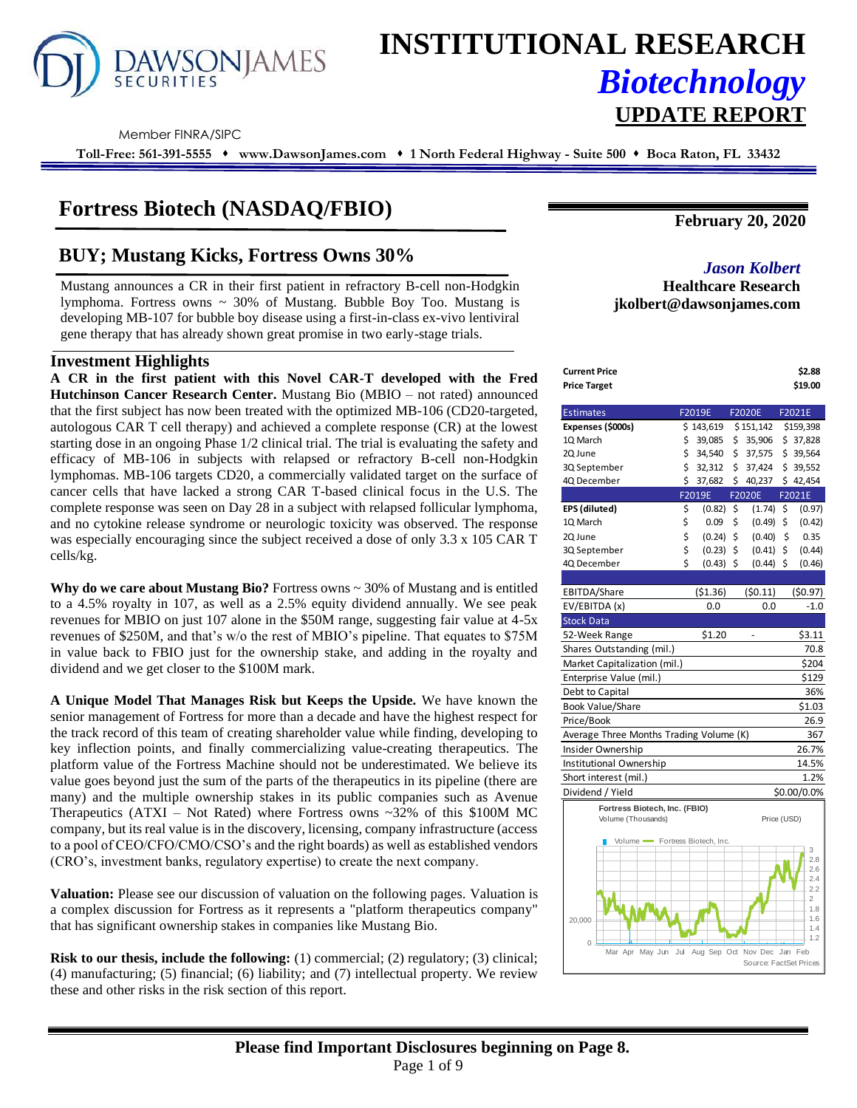

# **INSTITUTIONAL RESEARCH** *Biotechnology* **UPDATE REPORT**

Member FINRA/SIPC

**Toll-Free: 561-391-5555** ⬧ **www.DawsonJames.com** ⬧ **1 North Federal Highway - Suite 500** ⬧ **Boca Raton, FL 33432**

## **Fortress Biotech (NASDAQ/FBIO)**

# **BUY; Mustang Kicks, Fortress Owns 30%** *Jason Kolbert*

Mustang announces a CR in their first patient in refractory B-cell non-Hodgkin lymphoma. Fortress owns  $\sim$  30% of Mustang. Bubble Boy Too. Mustang is developing MB-107 for bubble boy disease using a first-in-class ex-vivo lentiviral gene therapy that has already shown great promise in two early-stage trials.

## **Investment Highlights**

**A CR in the first patient with this Novel CAR-T developed with the Fred Hutchinson Cancer Research Center.** Mustang Bio (MBIO – not rated) announced that the first subject has now been treated with the optimized MB-106 (CD20-targeted, autologous CAR T cell therapy) and achieved a complete response (CR) at the lowest starting dose in an ongoing Phase 1/2 clinical trial. The trial is evaluating the safety and efficacy of MB-106 in subjects with relapsed or refractory B-cell non-Hodgkin lymphomas. MB-106 targets CD20, a commercially validated target on the surface of cancer cells that have lacked a strong CAR T-based clinical focus in the U.S. The complete response was seen on Day 28 in a subject with relapsed follicular lymphoma, and no cytokine release syndrome or neurologic toxicity was observed. The response was especially encouraging since the subject received a dose of only 3.3 x 105 CAR T cells/kg.

**Why do we care about Mustang Bio?** Fortress owns ~ 30% of Mustang and is entitled to a 4.5% royalty in 107, as well as a 2.5% equity dividend annually. We see peak revenues for MBIO on just 107 alone in the \$50M range, suggesting fair value at 4-5x revenues of \$250M, and that's w/o the rest of MBIO's pipeline. That equates to \$75M in value back to FBIO just for the ownership stake, and adding in the royalty and dividend and we get closer to the \$100M mark.

**A Unique Model That Manages Risk but Keeps the Upside.** We have known the senior management of Fortress for more than a decade and have the highest respect for the track record of this team of creating shareholder value while finding, developing to key inflection points, and finally commercializing value-creating therapeutics. The platform value of the Fortress Machine should not be underestimated. We believe its value goes beyond just the sum of the parts of the therapeutics in its pipeline (there are many) and the multiple ownership stakes in its public companies such as Avenue Therapeutics  $(ATXI - Not Rated)$  where Fortress owns ~32% of this \$100M MC company, but its real value is in the discovery, licensing, company infrastructure (access to a pool of CEO/CFO/CMO/CSO's and the right boards) as well as established vendors (CRO's, investment banks, regulatory expertise) to create the next company.

**Valuation:** Please see our discussion of valuation on the following pages. Valuation is a complex discussion for Fortress as it represents a "platform therapeutics company" that has significant ownership stakes in companies like Mustang Bio.

**Risk to our thesis, include the following:** (1) commercial; (2) regulatory; (3) clinical; (4) manufacturing; (5) financial; (6) liability; and (7) intellectual property. We review these and other risks in the risk section of this report.

**February 20, 2020**

## **Healthcare Research jkolbert@dawsonjames.com**

| <b>Current Price</b><br><b>Price Target</b>          |                   |     |                        | \$2.88<br>\$19.00     |
|------------------------------------------------------|-------------------|-----|------------------------|-----------------------|
|                                                      |                   |     |                        |                       |
| <b>Estimates</b>                                     | F2019E            |     | <b>F2020E</b>          | F2021E                |
| Expenses (\$000s)                                    | \$143,619         |     | \$151,142              | \$159,398             |
| 1Q March                                             | \$<br>39,085      | \$. | 35,906                 | \$37,828              |
| 2Q June                                              | \$<br>34,540      | \$  | 37,575                 | \$39,564              |
| 3Q September                                         | \$<br>32,312      | \$  | 37,424                 | \$39,552              |
| 4Q December                                          | \$<br>37,682      | \$  | 40,237                 | \$42,454              |
|                                                      | F2019E            |     | F2020E                 | F2021E                |
| EPS (diluted)                                        | \$<br>(0.82)      | \$  | (1.74)                 | \$<br>(0.97)          |
| 1Q March                                             | \$<br>0.09        | \$  | (0.49)                 | \$<br>(0.42)          |
| 2Q June                                              | \$<br>(0.24)      | \$  | (0.40)                 | \$<br>0.35            |
| 3Q September                                         | \$<br>(0.23)      | \$  | (0.41)                 | \$<br>(0.44)          |
| 4Q December                                          | \$<br>$(0.43)$ \$ |     | (0.44)                 | \$<br>(0.46)          |
|                                                      |                   |     |                        |                       |
| EBITDA/Share                                         | ( \$1.36)         |     | (50.11)                | (50.97)               |
| EV/EBITDA (x)                                        | 0.0               |     | 0.0                    | $-1.0$                |
| <b>Stock Data</b>                                    |                   |     |                        |                       |
| 52-Week Range                                        | \$1.20            |     | ÷,                     | \$3.11                |
| Shares Outstanding (mil.)                            |                   |     |                        | 70.8                  |
| Market Capitalization (mil.)                         |                   |     |                        | \$204                 |
| Enterprise Value (mil.)                              |                   |     |                        | \$129                 |
| Debt to Capital                                      |                   |     |                        | 36%                   |
| <b>Book Value/Share</b>                              |                   |     |                        | \$1.03                |
| Price/Book                                           |                   |     |                        | 26.9                  |
| Average Three Months Trading Volume (K)              |                   |     |                        | 367                   |
| Insider Ownership                                    |                   |     |                        | 26.7%                 |
| Institutional Ownership                              |                   |     |                        | 14.5%                 |
| Short interest (mil.)                                |                   |     |                        | 1.2%                  |
| Dividend / Yield                                     |                   |     |                        | \$0.00/0.0%           |
| Fortress Biotech, Inc. (FBIO)                        |                   |     |                        |                       |
| Volume (Thousands)                                   |                   |     | Price (USD)            |                       |
| Volume <b>-</b> Fortress Biotech, Inc.               |                   |     |                        |                       |
|                                                      |                   |     |                        | 3                     |
|                                                      |                   |     |                        | 2.8<br>2.6            |
|                                                      |                   |     |                        | 2.4                   |
|                                                      |                   |     |                        | 2.2<br>$\overline{2}$ |
|                                                      |                   |     |                        | 1.8                   |
| 20,000                                               |                   |     |                        | 1.6                   |
|                                                      |                   |     |                        | 1.4<br>1.2            |
| 0<br>Mar Apr May Jun Jul Aug Sep Oct Nov Dec Jan Feb |                   |     |                        |                       |
|                                                      |                   |     | Source: FactSet Prices |                       |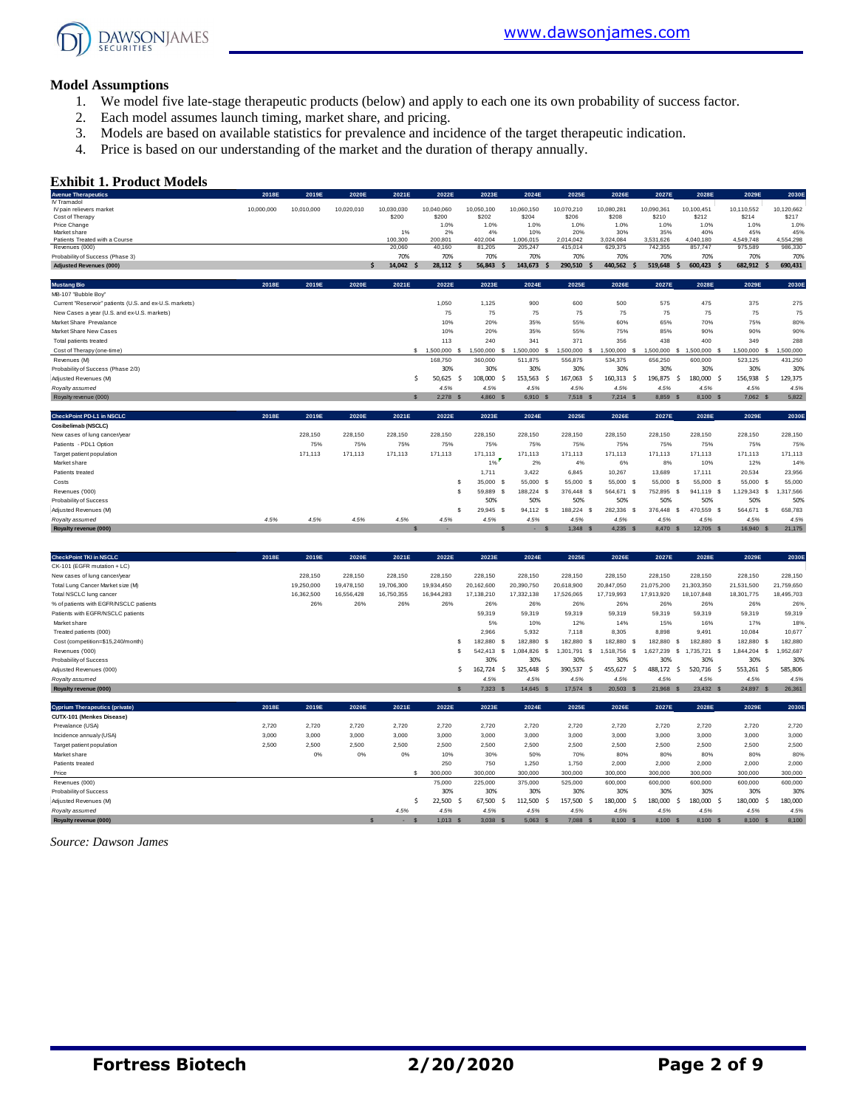

#### **Model Assumptions**

- 1. We model five late-stage therapeutic products (below) and apply to each one its own probability of success factor.
- 2. Each model assumes launch timing, market share, and pricing.
- 3. Models are based on available statistics for prevalence and incidence of the target therapeutic indication.
- 4. Price is based on our understanding of the market and the duration of therapy annually.

#### **Exhibit 1. Product Models**

| <b>Exhibit 1. Product Models</b>                                                                       |            |            |            |                     |                          |                     |                                         |                       |                                 |                     |                                    |                         |                      |
|--------------------------------------------------------------------------------------------------------|------------|------------|------------|---------------------|--------------------------|---------------------|-----------------------------------------|-----------------------|---------------------------------|---------------------|------------------------------------|-------------------------|----------------------|
| <b>Avenue Therapeutics</b>                                                                             | 2018E      | 2019E      | 2020E      | 2021E               | 2022E                    | 2023E               | 2024E                                   | 2025E                 | 2026E                           | 2027E               | 2028E                              | 2029E                   | 2030E                |
| IV Tramadol<br>IV pain relievers market<br>Cost of Therapy                                             | 10,000,000 | 10,010,000 | 10,020,010 | 10,030,030<br>\$200 | 10,040,060<br>\$200      | 10,050,100<br>\$202 | 10,060,150<br>\$204                     | 10,070,210<br>\$206   | 10,080,281<br>\$208             | 10,090,361<br>\$210 | 10,100,451<br>\$212                | 10,110,552<br>\$214     | 10,120,662<br>\$217  |
| Price Change                                                                                           |            |            |            |                     | 1.0%                     | 1.0%                | 1.0%                                    | 1.0%<br>20%           | 1.0%<br>30%                     | 1.0%<br>35%         | 1.0%<br>40%                        | 1.0%                    | 1.0%                 |
| Market share<br>Patients Treated with a Course                                                         |            |            |            | 1%<br>100,300       | 2%<br>200,801            | 4%<br>402,004       | 10%<br>1,006,015                        | 2,014,042             | 3,024,084                       | 3,531,626           | 4,040,180                          | 45%<br>4,549,748        | 45%<br>4,554,298     |
| Revenues (000)                                                                                         |            |            |            | 20,060              | 40,160                   | 81,205              | 205,247                                 | 415,014               | 629,375                         | 742,355             | 857,747                            | 975,589                 | 986,330              |
| Probability of Success (Phase 3)                                                                       |            |            |            | 70%                 | 70%                      | 70%                 | 70%                                     | 70%                   | 70%                             | 70%                 | 70%                                | 70%                     | 70%                  |
| <b>Adjusted Revenues (000)</b>                                                                         |            |            |            | 14,042 \$<br>Ś      | 28,112<br>.s             | 56,843              | 143,673<br>.s                           | \$<br>290,510<br>- Ś  | 440,562<br>$\mathsf{\$}$        | 519,648             | \$<br>600,423<br>- S               | 682,912<br>$\mathsf{s}$ | 690,431              |
| <b>Mustang Bio</b>                                                                                     | 2018E      | 2019E      | 2020E      | 2021E               | 2022E                    | 2023E               | 2024E                                   | 2025E                 | 2026E                           | 2027E               | 2028E                              | 2029E                   | 2030E                |
| MB-107 "Bubble Boy"                                                                                    |            |            |            |                     |                          |                     |                                         |                       |                                 |                     |                                    |                         |                      |
| Current "Reservoir" patients (U.S. and ex-U.S. markets)<br>New Cases a year (U.S. and ex-U.S. markets) |            |            |            |                     | 1,050<br>75              | 1,125<br>75         | 900<br>75                               | 600<br>75             | 500<br>75                       | 575<br>75           | 475<br>75                          | 375<br>75               | 275<br>75            |
| Market Share Prevalance                                                                                |            |            |            |                     | 10%                      | 20%                 | 35%                                     | 55%                   | 60%                             | 65%                 | 70%                                | 75%                     | 80%                  |
| Market Share New Cases                                                                                 |            |            |            |                     | 10%<br>113               | 20%<br>240          | 35%<br>341                              | 55%<br>371            | 75%<br>356                      | 85%<br>438          | 90%<br>400                         | 90%<br>349              | 90%<br>288           |
| Total patients treated<br>Cost of Therapy (one-time)                                                   |            |            |            |                     | \$ 1,500,000<br><b>S</b> | 1,500,000           | 1,500,000                               | 1,500,000<br>s<br>s   | 1,500,000<br>s                  | 1,500,000           | 1,500,000<br>-S<br>-S              | 1,500,000<br>-S         |                      |
| Revenues (M)                                                                                           |            |            |            |                     | 168,750                  | 360,000             | 511,875                                 | 556,875               | 534,375                         | 656,250             | 600,000                            | 523,125                 | 1,500,000<br>431,250 |
| Probability of Success (Phase 2/3)                                                                     |            |            |            |                     | 30%                      | 30%                 | 30%                                     | 30%                   | 30%                             | 30%                 | 30%                                | 30%                     | 30%                  |
| Adjusted Revenues (M)                                                                                  |            |            |            | \$                  | 50,625<br>-Ś             | 108,000             | 153,563<br>-Ś                           | 167,063<br>-\$<br>-\$ | 160,313                         | 196,875<br>\$       | 180,000<br>\$<br>-Ś                | 156,938<br>Ŝ.           | 129,375              |
| Royalty assumed                                                                                        |            |            |            |                     | 4.5%                     | 4.5%                | 4.5%                                    | 4.5%                  | 4.5%                            | 4.5%                | 4.5%                               | 4.5%                    | 4.5%                 |
| Royalty revenue (000)                                                                                  |            |            |            | $\mathbf{s}$        | 2,278                    | 4,860               | 6,910                                   | 7,518                 | 7,214                           | 8,859 \$            | 8,100                              | 7,062<br>s              | 5,822                |
| CheckPoint PD-L1 in NSCLC                                                                              | 2018E      | 2019E      | 2020E      | 2021E               | 2022E                    | 2023E               | 2024E                                   | 2025E                 | 2026E                           | 2027E               | 2028E                              | 2029E                   | 2030E                |
| Cosibelimab (NSCLC)                                                                                    |            |            |            |                     |                          |                     |                                         |                       |                                 |                     |                                    |                         |                      |
| New cases of lung cancer/year                                                                          |            | 228,150    | 228,150    | 228,150             | 228,150                  | 228,150             | 228,150                                 | 228,150               | 228,150                         | 228,150             | 228,150                            | 228,150                 | 228,150              |
| Patients - PDL1 Option                                                                                 |            | 75%        | 75%        | 75%                 | 75%                      | 75%                 | 75%                                     | 75%                   | 75%                             | 75%                 | 75%                                | 75%                     | 75%                  |
| Target patient population                                                                              |            | 171,113    | 171,113    | 171,113             | 171,113                  | 171,113             | 171,113                                 | 171,113               | 171,113                         | 171,113             | 171,113                            | 171,113                 | 171,113              |
| Market share<br>Patients treated                                                                       |            |            |            |                     |                          | 1%<br>1,711         | 2%<br>3.422                             | 4%<br>6.845           | 6%<br>10,267                    | 8%                  | 10%                                | 12%                     | 14%                  |
|                                                                                                        |            |            |            |                     | s                        | 35,000 \$           | 55,000                                  | 55,000<br>s<br>s      | 55,000                          | 13,689<br>55,000    | 17,111<br>55,000 \$<br>-S          | 20,534<br>55,000        | 23,956<br>55,000     |
| Costs<br>Revenues ('000)                                                                               |            |            |            |                     | \$.                      | 59,889              | $\mathbf{\hat{s}}$<br>188,224           | 376,448<br>-S<br>-S   | \$<br>564,671<br>$\mathbf s$    | 752.895             | 941,119<br>S.<br>- \$              | -S<br>1,129,343<br>s    | 1,317,566            |
| Probability of Success                                                                                 |            |            |            |                     |                          | 50%                 | 50%                                     | 50%                   | 50%                             | 50%                 | 50%                                | 50%                     | 50%                  |
| Adjusted Revenues (M)                                                                                  |            |            |            |                     | \$                       | 29,945 \$           | 94,112                                  | 188,224<br>-S<br>-S   | 282,336<br>- \$                 | 376,448             | 470,559<br>- \$<br>- \$            | 564,671 \$              | 658,783              |
| Royalty assumed                                                                                        | 4.5%       | 4.5%       | 4.5%       | 4.5%                | 4.5%                     | 4.5%                | 4.5%                                    | 4.5%                  | 4.5%                            | 4.5%                | 4.5%                               | 4.5%                    | 4.5%                 |
| Royalty revenue (000)                                                                                  |            |            |            | S                   |                          |                     |                                         | 1,348<br>$\mathbf{s}$ | 4.235<br>$\mathbf{s}$           | 8,470               | 12,705<br><b>S</b><br>$\mathbf{s}$ | 16,940<br>$\mathbf{s}$  | 21,175               |
|                                                                                                        |            |            |            |                     |                          |                     |                                         |                       |                                 |                     |                                    |                         |                      |
| <b>CheckPoint TKI in NSCLC</b>                                                                         | 2018E      | 2019E      | 2020E      | 2021E               | 2022E                    | 2023E               | 2024E                                   | 2025E                 | 2026E                           | 2027E               | 2028E                              | 2029E                   | 2030E                |
| CK-101 (EGFR mutation + LC)<br>New cases of lung cancer/year                                           |            | 228,150    | 228,150    | 228,150             | 228,150                  | 228,150             | 228,150                                 | 228,150               | 228,150                         | 228,150             | 228,150                            | 228,150                 | 228,150              |
| Total Lung Cancer Market size (M)                                                                      |            | 19,250,000 | 19,478,150 | 19,706,300          | 19,934,450               | 20,162,600          | 20,390,750                              | 20,618,900            | 20,847,050                      | 21,075,200          | 21,303,350                         | 21,531,500              | 21,759,650           |
| Total NSCLC lung cancer                                                                                |            | 16,362,500 | 16,556,428 | 16,750,355          | 16,944,283               | 17,138,210          | 17,332,138                              | 17,526,065            | 17,719,993                      | 17,913,920          | 18,107,848                         | 18,301,775              | 18,495,703           |
| % of patients with EGFR/NSCLC patients                                                                 |            | 26%        | 26%        | 26%                 | 26%                      | 26%                 | 26%                                     | 26%                   | 26%                             | 26%                 | 26%                                | 26%                     | 26%                  |
| Patients with EGFR/NSCLC patients                                                                      |            |            |            |                     |                          | 59,319              | 59,319                                  | 59,319                | 59,319                          | 59,319              | 59,319                             | 59,319                  | 59,319               |
| Market share                                                                                           |            |            |            |                     |                          | 5%                  | 10%                                     | 12%                   | 14%                             | 15%                 | 16%                                | 17%                     | 18%                  |
| Treated patients (000)                                                                                 |            |            |            |                     |                          | 2,966               | 5,932                                   | 7,118                 | 8,305                           | 8,898               | 9,491                              | 10,084                  | 10,677               |
| Cost (competition=\$15,240/month)                                                                      |            |            |            |                     | s                        | 182,880             | 182,880<br>-S                           | 182,880<br>-S<br>-S   | 182,880<br>-S                   | 182,880             | 182,880<br>-\$<br>-S               | 182,880<br>- S          | 182.880              |
| Revenues ('000)                                                                                        |            |            |            |                     | \$.                      | 542,413             | $\mathbf{s}$<br>1,084,826               | s<br>1,301,791<br>s   | 1,518,756<br>s.                 | 1.627.239           | \$<br>1,735,721<br>\$              | 1,844,204<br>s          | 1,952,687            |
| Probability of Success                                                                                 |            |            |            |                     |                          | 30%                 | 30%                                     | 30%                   | 30%                             | 30%                 | 30%                                | 30%                     | 30%                  |
| Adjusted Revenues (000)                                                                                |            |            |            |                     | Ŝ.                       | 162,724 \$          | 325,448                                 | -\$<br>390.537<br>-\$ | 455.627<br>-\$                  | 488.172             | 520.716 \$<br>- \$                 | 553.261<br>\$           | 585.806              |
| Royalty assumed<br>Royalty revenue (000)                                                               |            |            |            |                     |                          | 4.5%<br>7,323       | 4.5%<br>14,645 \$<br>$\mathbf{\hat{s}}$ | 4.5%<br>17,574        | 4.5%<br>20,503<br>$\mathcal{S}$ | 4.5%<br>21,968 \$   | 4.5%<br>23,432 \$                  | 4.5%<br>24,897 \$       | 4.5%<br>26,361       |
|                                                                                                        |            |            |            |                     |                          |                     |                                         |                       |                                 |                     |                                    |                         |                      |
| <b>Cyprium Therapeutics (private)</b><br>CUTX-101 (Menkes Disease)                                     | 2018E      | 2019E      | 2020E      | 2021E               | 2022E                    | 2023E               | 2024E                                   | 2025E                 | 2026E                           | 2027E               | 2028E                              | 2029E                   | 2030E                |
| Prevalance (USA)                                                                                       | 2.720      | 2,720      | 2,720      | 2,720               | 2,720                    | 2.720               | 2,720                                   | 2,720                 | 2,720                           | 2,720               | 2,720                              | 2.720                   | 2,720                |
| Incidence annualy (USA)                                                                                | 3,000      | 3,000      | 3,000      | 3,000               | 3,000                    | 3,000               | 3,000                                   | 3,000                 | 3,000                           | 3,000               | 3,000                              | 3,000                   | 3,000                |
| Target patient population                                                                              | 2,500      | 2,500      | 2,500      | 2,500               | 2,500                    | 2,500               | 2,500                                   | 2,500                 | 2,500                           | 2,500               | 2,500                              | 2,500                   | 2,500                |
| Market share                                                                                           |            | 0%         | 0%         | 0%                  | 10%                      | 30%                 | 50%                                     | 70%                   | 80%                             | 80%                 | 80%                                | 80%                     | 80%                  |
| Patients treated                                                                                       |            |            |            |                     | 250                      | 750                 | 1,250                                   | 1,750                 | 2,000                           | 2,000               | 2,000                              | 2,000                   | 2,000                |
| Drico                                                                                                  |            |            |            |                     | <b>nnn</b>               | n nn                | an nan                                  | nn nnr                | nn nnn                          | nn nnr              | an nan                             | in nnn                  | 00.000               |

| Patients treated       |      | 250     | 750     | 1.250      | 1.750   | 2.000   | 2.000   | 2.000   | 2.000    | 2.000   |
|------------------------|------|---------|---------|------------|---------|---------|---------|---------|----------|---------|
| Price                  |      | 300,000 | 300,000 | 300,000    | 300.000 | 300,000 | 300,000 | 300,000 | 300,000  | 300,000 |
| Revenues (000)         |      | 75,000  | 225.000 | 375,000    | 525.000 | 600,000 | 600,000 | 600,000 | 600,000  | 600,000 |
| Probability of Success |      | 30%     | 30%     | 30%        | 30%     | 30%     | 30%     | 30%     | 30%      | 30%     |
| Adjusted Revenues (M)  |      | 22.500  | 67.500  | 112,500    | 157.500 | 180.000 | 180,000 | 180,000 | 180.000  | 180,000 |
| Rovalty assumed        | 4.5% | 4.5%    | 4.5%    | 4.5%       | 4.5%    | 4.5%    | 4.5%    | 4.5%    | 4.5%     | 4.5%    |
| Royalty revenue (000)  |      | 1.013   | 3.038   | $5,063$ \$ | 7.088   | 8,100   | 8,100   | 8,100   | 8,100 \$ | 8,100   |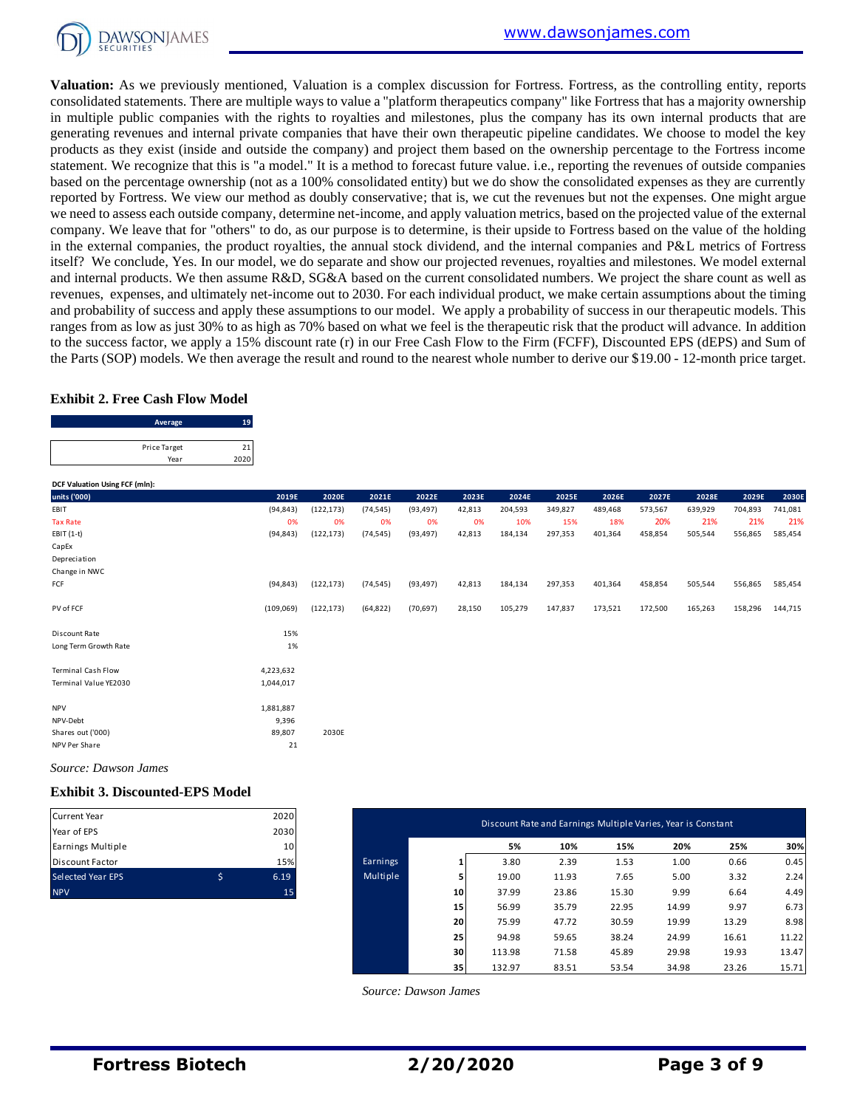

**Valuation:** As we previously mentioned, Valuation is a complex discussion for Fortress. Fortress, as the controlling entity, reports consolidated statements. There are multiple ways to value a "platform therapeutics company" like Fortress that has a majority ownership in multiple public companies with the rights to royalties and milestones, plus the company has its own internal products that are generating revenues and internal private companies that have their own therapeutic pipeline candidates. We choose to model the key products as they exist (inside and outside the company) and project them based on the ownership percentage to the Fortress income statement. We recognize that this is "a model." It is a method to forecast future value. i.e., reporting the revenues of outside companies based on the percentage ownership (not as a 100% consolidated entity) but we do show the consolidated expenses as they are currently reported by Fortress. We view our method as doubly conservative; that is, we cut the revenues but not the expenses. One might argue we need to assess each outside company, determine net-income, and apply valuation metrics, based on the projected value of the external company. We leave that for "others" to do, as our purpose is to determine, is their upside to Fortress based on the value of the holding in the external companies, the product royalties, the annual stock dividend, and the internal companies and P&L metrics of Fortress itself? We conclude, Yes. In our model, we do separate and show our projected revenues, royalties and milestones. We model external and internal products. We then assume R&D, SG&A based on the current consolidated numbers. We project the share count as well as revenues, expenses, and ultimately net-income out to 2030. For each individual product, we make certain assumptions about the timing and probability of success and apply these assumptions to our model. We apply a probability of success in our therapeutic models. This ranges from as low as just 30% to as high as 70% based on what we feel is the therapeutic risk that the product will advance. In addition to the success factor, we apply a 15% discount rate (r) in our Free Cash Flow to the Firm (FCFF), Discounted EPS (dEPS) and Sum of the Parts (SOP) models. We then average the result and round to the nearest whole number to derive our \$19.00 - 12-month price target.<br> **Exhibit 2. Free Cash Flow Model**<br>
Average 19<br>
Price Target 21

#### **Exhibit 2. Free Cash Flow Model**

| <b>Exhibit 2. Free Cash Flow Model</b> |     |
|----------------------------------------|-----|
| Average                                | 19  |
| Price Target                           |     |
| Year                                   | 202 |
|                                        |     |

| DCF Valuation Using FCF (mln): |           |            |           |           |        |         |         |         |         |         |         |         |
|--------------------------------|-----------|------------|-----------|-----------|--------|---------|---------|---------|---------|---------|---------|---------|
| units ('000)                   | 2019E     | 2020E      | 2021E     | 2022E     | 2023E  | 2024E   | 2025E   | 2026E   | 2027E   | 2028E   | 2029E   | 2030E   |
| EBIT                           | (94, 843) | (122, 173) | (74, 545) | (93, 497) | 42,813 | 204,593 | 349,827 | 489,468 | 573,567 | 639,929 | 704,893 | 741,081 |
| <b>Tax Rate</b>                | 0%        | 0%         | 0%        | 0%        | 0%     | 10%     | 15%     | 18%     | 20%     | 21%     | 21%     | 21%     |
| EBIT (1-t)                     | (94, 843) | (122, 173) | (74, 545) | (93, 497) | 42,813 | 184,134 | 297,353 | 401,364 | 458,854 | 505,544 | 556,865 | 585,454 |
| CapEx                          |           |            |           |           |        |         |         |         |         |         |         |         |
| Depreciation                   |           |            |           |           |        |         |         |         |         |         |         |         |
| Change in NWC                  |           |            |           |           |        |         |         |         |         |         |         |         |
| FCF                            | (94, 843) | (122, 173) | (74, 545) | (93, 497) | 42,813 | 184,134 | 297,353 | 401,364 | 458,854 | 505,544 | 556,865 | 585,454 |
| PV of FCF                      | (109,069) | (122, 173) | (64, 822) | (70, 697) | 28,150 | 105,279 | 147,837 | 173,521 | 172,500 | 165,263 | 158,296 | 144,715 |
| Discount Rate                  | 15%       |            |           |           |        |         |         |         |         |         |         |         |
| Long Term Growth Rate          | 1%        |            |           |           |        |         |         |         |         |         |         |         |
| <b>Terminal Cash Flow</b>      | 4,223,632 |            |           |           |        |         |         |         |         |         |         |         |
| Terminal Value YE2030          | 1,044,017 |            |           |           |        |         |         |         |         |         |         |         |
| <b>NPV</b>                     | 1,881,887 |            |           |           |        |         |         |         |         |         |         |         |
| NPV-Debt                       | 9,396     |            |           |           |        |         |         |         |         |         |         |         |
| Shares out ('000)              | 89,807    | 2030E      |           |           |        |         |         |         |         |         |         |         |
| NPV Per Share                  | 21        |            |           |           |        |         |         |         |         |         |         |         |

#### **Exhibit 3. Discounted-EPS Model**

| <b>Current Year</b>      |   | 2020 |
|--------------------------|---|------|
| Year of EPS              |   | 2030 |
| Earnings Multiple        |   | 10   |
| <b>Discount Factor</b>   |   | 15%  |
| <b>Selected Year EPS</b> | ς | 6.19 |
| <b>NPV</b>               |   | 15   |

| Current Year<br>Year of EPS | 2020<br>2030    |          |    | Discount Rate and Earnings Multiple Varies, Year is Constant |       |       |       |       |       |
|-----------------------------|-----------------|----------|----|--------------------------------------------------------------|-------|-------|-------|-------|-------|
| Earnings Multiple           | 10 <sup>1</sup> |          |    | 5%                                                           | 10%   | 15%   | 20%   | 25%   | 30%   |
| Discount Factor             | 15%             | Earnings |    | 3.80                                                         | 2.39  | 1.53  | 1.00  | 0.66  | 0.45  |
| Selected Year EPS           | \$<br>6.19      | Multiple |    | 19.00                                                        | 11.93 | 7.65  | 5.00  | 3.32  | 2.24  |
| <b>NPV</b>                  | 15              |          | 10 | 37.99                                                        | 23.86 | 15.30 | 9.99  | 6.64  | 4.49  |
|                             |                 |          | 15 | 56.99                                                        | 35.79 | 22.95 | 14.99 | 9.97  | 6.73  |
|                             |                 |          | 20 | 75.99                                                        | 47.72 | 30.59 | 19.99 | 13.29 | 8.98  |
|                             |                 |          | 25 | 94.98                                                        | 59.65 | 38.24 | 24.99 | 16.61 | 11.22 |
|                             |                 |          | 30 | 113.98                                                       | 71.58 | 45.89 | 29.98 | 19.93 | 13.47 |
|                             |                 |          | 35 | 132.97                                                       | 83.51 | 53.54 | 34.98 | 23.26 | 15.71 |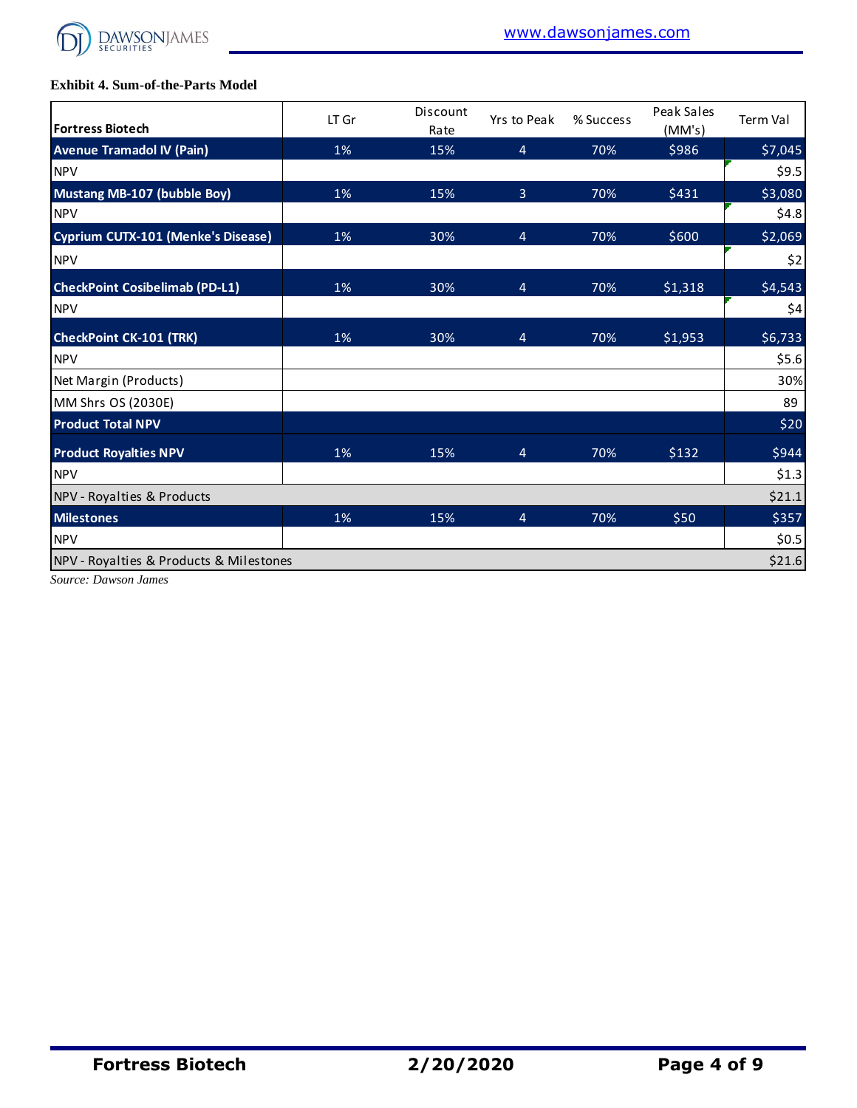

## **Exhibit 4. Sum-of-the-Parts Model**

| <b>Fortress Biotech</b>                   | LT Gr | Discount<br>Rate | Yrs to Peak    | % Success | Peak Sales<br>(MM's) | <b>Term Val</b> |
|-------------------------------------------|-------|------------------|----------------|-----------|----------------------|-----------------|
| <b>Avenue Tramadol IV (Pain)</b>          | 1%    | 15%              | $\overline{4}$ | 70%       | \$986                | \$7,045         |
| <b>NPV</b>                                |       |                  |                |           |                      | \$9.5]          |
| Mustang MB-107 (bubble Boy)               | 1%    | 15%              | 3              | 70%       | \$431                | \$3,080         |
| <b>NPV</b>                                |       |                  |                |           |                      | \$4.8           |
| <b>Cyprium CUTX-101 (Menke's Disease)</b> | 1%    | 30%              | 4              | 70%       | \$600                | \$2,069         |
| <b>NPV</b>                                |       |                  |                |           |                      | \$2             |
| <b>CheckPoint Cosibelimab (PD-L1)</b>     | 1%    | 30%              | $\overline{4}$ | 70%       | \$1,318              | \$4,543         |
| <b>NPV</b>                                |       |                  |                |           |                      | \$4             |
| <b>CheckPoint CK-101 (TRK)</b>            | 1%    | 30%              | 4              | 70%       | \$1,953              | \$6,733         |
| <b>NPV</b>                                |       |                  |                |           |                      | \$5.6           |
| Net Margin (Products)                     |       |                  |                |           |                      | 30%             |
| MM Shrs OS (2030E)                        |       |                  |                |           |                      | 89              |
| <b>Product Total NPV</b>                  |       |                  |                |           |                      | \$20            |
| <b>Product Royalties NPV</b>              | 1%    | 15%              | $\overline{4}$ | 70%       | \$132                | \$944           |
| <b>NPV</b>                                |       |                  |                |           |                      | \$1.3           |
| NPV - Royalties & Products                |       |                  |                |           |                      | \$21.1          |
| <b>Milestones</b>                         | 1%    | 15%              | 4              | 70%       | \$50                 | \$357           |
| <b>NPV</b>                                |       |                  |                |           |                      | \$0.5           |
| NPV - Royalties & Products & Milestones   |       |                  |                |           |                      | \$21.6          |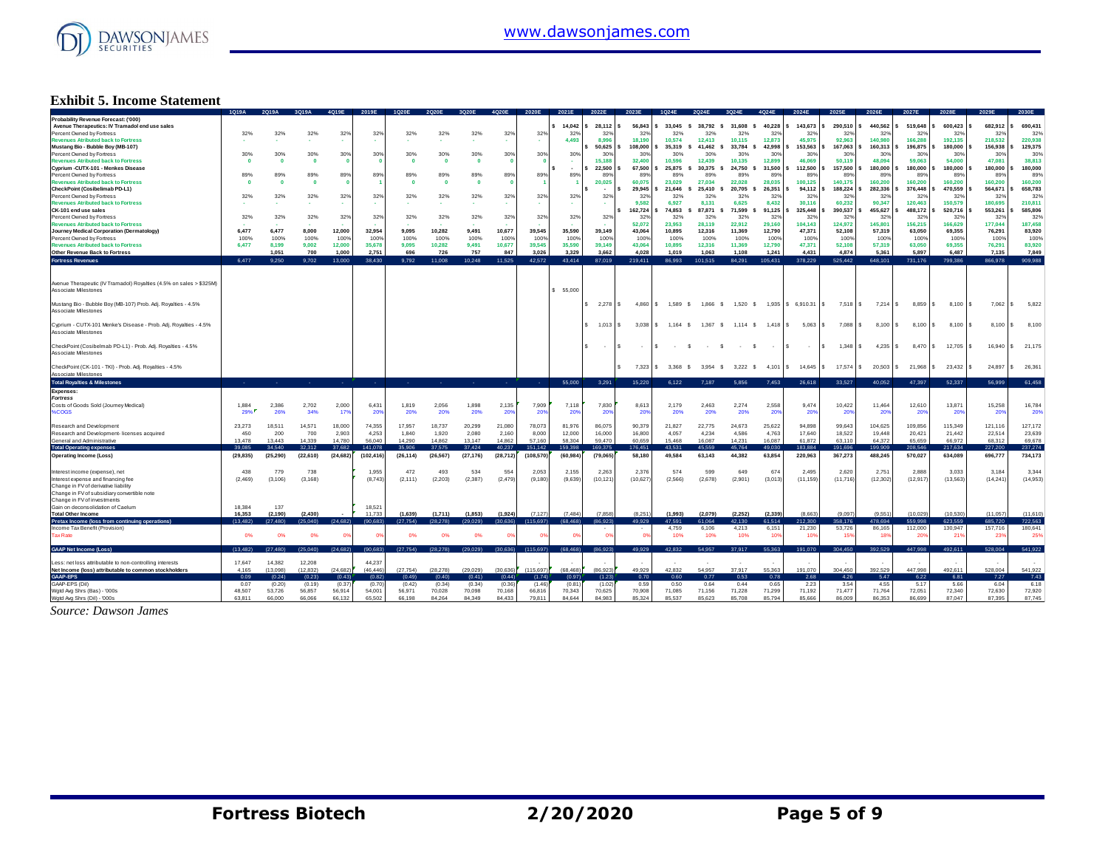

## **Exhibit 5. Income Statement**

|                                                                     |           |           |              | 4019            |                 |            |           |           | <b>IO20E</b>    | 2020E           |           |                 |                       |          |                |                       |             |                                    |                 |                 | 2027F                    | 2028       |              |              |
|---------------------------------------------------------------------|-----------|-----------|--------------|-----------------|-----------------|------------|-----------|-----------|-----------------|-----------------|-----------|-----------------|-----------------------|----------|----------------|-----------------------|-------------|------------------------------------|-----------------|-----------------|--------------------------|------------|--------------|--------------|
| Probability Revenue Forecast: ('000)                                |           |           |              |                 |                 |            |           |           |                 |                 |           |                 |                       |          |                |                       |             |                                    |                 |                 |                          |            |              |              |
| Avenue Therapeutics: IV Tramadol end use sales                      |           |           |              |                 |                 |            |           |           |                 |                 | 14,042    | 28,112          | 56,843                | 33,045   | 38,792<br>-S   | 31,608 \$             | $40,228$ \$ | 143,673                            | 290,510<br>١s   | 440,562         | 519,648                  | 600,423    | 682,912      | 690,431      |
| Percent Owned by Fortress                                           | 32%       | 32%       | 32%          | 32%             | 32%             | 32%        | 32%       | 32%       | 32%             | 32%             | 329       | 32              | 32%                   | 32%      | 32%            | 32%                   | 32%         | 32%                                | 32'             | 32%             | 32                       | 32         | 329          | 32%          |
| <b>Revenues Atributed back to Fortress</b>                          |           |           |              |                 |                 |            |           |           | <b>1979</b>     |                 | 4.493     | 8.996           | 18.190                | 10.574   | 12,413         | 10.115                | 12,873      | 45.975                             | 92.963          | 140.980         | 166,288                  | 192.135    | 218,532      | 220,938      |
| Mustang Bio - Bubble Boy (MB-107)                                   |           |           |              |                 |                 |            |           |           |                 |                 |           | 50,625          | 108,000               | 35,319   | 41.462         | 33,784 \$             | 42,998      | 153,563                            | 167,063         | 160,313         | 196,875                  | 180,000    | 156,938      | 129,375      |
| Percent Owned by Fortress                                           | 30%       | 30%       | 30%          | 30%             | 30%             | 30%        | 30%       | 30%       | 30%             | 30%             | 30%       | 30              | 30%                   | 30%      | 30%            | 30%                   | 30%         | 30%                                | 30 <sup>6</sup> | 30%             | 30'                      | 30%        | 30%          | 30%          |
| <b>Revenues Atributed back to Fortress</b>                          |           |           | $\Omega$     |                 |                 | $\Omega$   | n         |           |                 |                 |           | 15.188          | 32,400                | 10,596   | 12,439         | 10.135                | 12,899      | 46.069                             | 50.119          | 48.094          | 59,063                   | 54,000     | 47.081       | 38,813       |
|                                                                     |           | n         |              |                 |                 |            |           | $\Omega$  | $\Omega$        |                 |           |                 |                       |          |                |                       |             |                                    |                 |                 |                          |            |              |              |
| Cyprium -CUTX-101 - Menkes Disease                                  |           |           |              |                 |                 |            |           |           |                 |                 | $\sim$    | 22,500          | 67,500                | 25,875   | 30,375<br>- 5  | 24,750 \$             | 31,500      | 112,500                            | 157,500         | 180,000         | 180,000                  | 180,000    | 180,000      | 180,000      |
| Percent Owned by Fortress                                           | 89%       | 89%       | 89%          | 89%             | 89%             | 89%        | 89%       | 89%       | 89%             | 899             | 89%       | 89              | 89%                   | 89%      | 89%            | 89%                   | 89%         | 89'                                | 89              | 899             | 89                       | 899        | 899          | 89%          |
| <b>Revenues Atributed back to Fortress</b>                          |           |           | $\mathbf{0}$ |                 |                 |            |           |           |                 |                 |           | 20.025          | 60.075                | 23.029   | 27.034         | 22.028                | 28,035      | 100.125                            | 140.17          | 160,200         | 160,200                  | 160,200    | 160,200      | 160,200      |
| CheckPoint (Cosibelimab PD-L1)                                      |           |           |              |                 |                 |            |           |           |                 |                 |           |                 | 29,945                | 21.646   | 25,410<br>- 5  | 20,705<br>- \$        | 26,351      | 94.112                             | 188,224         | 282,336         | 376,448                  | 470,559    | 564,671      | 658,783      |
| Percent Owned by Fortress                                           | 32%       | 32%       | 32%          | 32%             | 32%             | 32%        | 32%       | 32%       | 32%             | 329             | 32%       | 329             | 329                   | 32%      | 32%            | 32%                   | 32%         | 32%                                | 329             | 329             | 32'                      | 329        | 32%          | 32%          |
| <b>Revenues Atributed back to Fortress</b>                          |           |           |              |                 |                 |            |           |           |                 |                 |           |                 | 9.582                 | 6.927    | 8.131          | 6.625                 | 8,432       | 30.116                             | 60.232          | 90.347          | 120.463                  | 150,579    | 180,695      | 210,811      |
| CK-101 end use sales                                                |           |           |              |                 |                 |            |           |           |                 |                 |           |                 | 162,724               | 74,853   | 87,871<br>- \$ | 71,599 \$             | 91,125      | 325,448                            | 390,537         | 455,627         | 488,172                  | 520,716    | 553,261      | 585,806      |
| Percent Owned by Fortress                                           | 32%       | 32%       | 32%          | 32%             | 32%             | 32%        | 32%       | 32%       | 32%             | 32%             | 32%       | 32%             | 32%                   | 32%      | 32%            | 32%                   | 32%         | 329                                | 329             | 329             | 32 <sup>0</sup>          | 32%        | 329          | 32%          |
|                                                                     |           |           |              |                 |                 |            |           |           |                 |                 |           |                 |                       |          |                |                       |             | 104.143                            |                 |                 |                          |            | 177,044      |              |
| <b>Revenues Atributed back to Fortress</b>                          |           |           |              |                 |                 |            |           |           |                 |                 |           |                 | 52,072                | 23,953   | 28,119         | 22,912                | 29,160      |                                    | 124,972         | 145,801         | 156,215                  | 166,629    |              | 187,458      |
| Journey Medical Corporation (Dermatology)                           | 6.477     | 6.477     | 8,000        | 12,000          | 32,954          | 9.095      | 10,282    | 9,491     | 10,677          | 39.545          | 35,590    | 39.149          | 43,064                | 10.895   | 12,316         | 11,369                | 12,790      | 47,371                             | 52.108          | 57,319          | 63.050                   | 69,355     | 76,291       | 83,920       |
| Percent Owned by Fortress                                           | 100%      | 100%      | 100%         | 100%            | 100%            | 100%       | 100%      | 100%      | 100%            | 100%            | 100%      | 100%            | 100%                  | 100%     | 100%           | 100%                  | 100%        | 100%                               | 100%            | 100%            | 100%                     | 100%       | 100%         | 100%         |
| <b>Revenues Atributed back to Fortress</b>                          | 6,477     | 8,199     | 9,002        | 12,000          | 35,678          | 9,095      | 10,282    | 9,491     | 10,677          | 39,545          | 35,590    | 39,149          | 43,064                | 10,895   | 12,316         | 11,369                | 12,790      | 47,371                             | 52,108          | 57,319          | 63,050                   | 69,355     | 76,291       | 83,920       |
| Other Revenue Back to Fortress                                      |           | 1,051     | 700          | 1.000           | 2,751           | 696        | 726       | 757       | 847             | 3,026           | 3,329     | 3.662           | 4,028                 | 1,019    | 1,063          | 1,108                 | 1,241       | 4.431                              | 4.874           | 5,361           | 5.897                    | 6.487      | 7,135        | 7,849        |
| <b>Fortress Revenues</b>                                            | 6.477     | 9,250     | 9.702        | 13,000          | 38.430          | 9,792      | 11,008    | 10,248    | 11.525          | 42.572          | 43.414    | 87.019          | 219,411               | 86,993   | 101,515        | 84,291                | 105.431     | 378.229                            | 525.442         | 648.101         | 731,176                  | 799.386    | 866,978      | 909,988      |
|                                                                     |           |           |              |                 |                 |            |           |           |                 |                 |           |                 |                       |          |                |                       |             |                                    |                 |                 |                          |            |              |              |
|                                                                     |           |           |              |                 |                 |            |           |           |                 |                 |           |                 |                       |          |                |                       |             |                                    |                 |                 |                          |            |              |              |
| Avenue Therapeutic (IV Tramadol) Royalties (4.5% on sales > \$325M) |           |           |              |                 |                 |            |           |           |                 |                 |           |                 |                       |          |                |                       |             |                                    |                 |                 |                          |            |              |              |
| Associate Milestones                                                |           |           |              |                 |                 |            |           |           |                 |                 | \$ 55,000 |                 |                       |          |                |                       |             |                                    |                 |                 |                          |            |              |              |
|                                                                     |           |           |              |                 |                 |            |           |           |                 |                 |           |                 |                       |          |                |                       |             |                                    |                 |                 |                          |            |              |              |
|                                                                     |           |           |              |                 |                 |            |           |           |                 |                 |           |                 |                       |          |                |                       |             |                                    |                 |                 |                          |            |              |              |
| Mustang Bio - Bubble Boy (MB-107) Prob. Adj. Royalties - 4.5%       |           |           |              |                 |                 |            |           |           |                 |                 |           | s.<br>2,278     | $4,860$ \$            | 1,589    | 1,866 \$<br>-S |                       |             | 1,520 \$ 1,935 \$ 6,910.31<br>l \$ | $7,518$ \$      | $7,214$ \$      | $8,859$ \$               | 8,100      | 7,062        | 5,822<br>s.  |
| Associate Milestones                                                |           |           |              |                 |                 |            |           |           |                 |                 |           |                 |                       |          |                |                       |             |                                    |                 |                 |                          |            |              |              |
|                                                                     |           |           |              |                 |                 |            |           |           |                 |                 |           |                 |                       |          |                |                       |             |                                    |                 |                 |                          |            |              |              |
| Cyprium - CUTX-101 Menke's Disease - Prob. Adj. Royalties - 4.5%    |           |           |              |                 |                 |            |           |           |                 |                 |           | s.<br>$1.013$ S | $3,038$ $\frac{1}{5}$ | 1,164 \$ | 1,367 \$       | $1,114$ \$ $1,418$ \$ |             | 5,063<br>s.                        | 7,088 \$        | 8,100           | $8,100$ $\sqrt{5}$<br>s. | $8,100$ \$ | 8,100<br>-S. | 8,100        |
| Associate Milestones                                                |           |           |              |                 |                 |            |           |           |                 |                 |           |                 |                       |          |                |                       |             |                                    |                 |                 |                          |            |              |              |
|                                                                     |           |           |              |                 |                 |            |           |           |                 |                 |           |                 |                       |          |                |                       |             |                                    |                 |                 |                          |            |              |              |
| CheckPoint (Cosibelmab PD-L1) - Prob. Adj. Royalties - 4.5%         |           |           |              |                 |                 |            |           |           |                 |                 |           | $\sim$          |                       |          | s.<br>- \$     | - \$                  |             | Ś.<br>I S<br>$\sim$                | 1,348<br>l s    | 4,235           | $8,470$ \$<br>s.         | 12,705     | 16,940       | 21,175<br>S. |
| Associate Milestones                                                |           |           |              |                 |                 |            |           |           |                 |                 |           |                 |                       |          |                |                       |             |                                    |                 |                 |                          |            |              |              |
|                                                                     |           |           |              |                 |                 |            |           |           |                 |                 |           |                 |                       |          |                |                       |             |                                    |                 |                 |                          |            |              |              |
|                                                                     |           |           |              |                 |                 |            |           |           |                 |                 |           |                 |                       |          |                |                       |             |                                    |                 |                 |                          |            |              |              |
| CheckPoint (CK-101 - TKI) - Prob. Adj. Royalties - 4.5%             |           |           |              |                 |                 |            |           |           |                 |                 |           |                 | 7.323                 | 3,368 \$ | 3.954 S        |                       |             | 3,222 \$ 4,101 \$ 14,645           | 17,574<br>l <   | 20,503          | 21.968                   | 23,432     | 24,897       | 26,361       |
| Associate Milestones                                                |           |           |              |                 |                 |            |           |           |                 |                 |           |                 |                       |          |                |                       |             |                                    |                 |                 |                          |            |              |              |
| <b>Total Royalties &amp; Milestones</b>                             | <b>A</b>  |           | $\sim$       | <b>Contract</b> | <b>Contract</b> | <b>COL</b> | $\sim$    | - 1       | <b>Contract</b> | <b>Contract</b> | 55,000    | 3,291           | 15,220                | 6,122    | 7,187          | 5,856                 | 7,453       | 26,618                             | 33,527          | 40.052          | 47,397                   | 52,337     | 56,999       | 61,458       |
| Expenses:                                                           |           |           |              |                 |                 |            |           |           |                 |                 |           |                 |                       |          |                |                       |             |                                    |                 |                 |                          |            |              |              |
|                                                                     |           |           |              |                 |                 |            |           |           |                 |                 |           |                 |                       |          |                |                       |             |                                    |                 |                 |                          |            |              |              |
| <b>Fortress</b>                                                     |           |           |              |                 |                 |            |           |           |                 |                 |           |                 |                       |          |                |                       |             |                                    |                 |                 |                          |            |              |              |
| Costs of Goods Sold (Journey Medical)                               | 1.884     | 2,386     | 2,702        | 2,000           | 6,431           | 1.819      | 2.056     | 1,898     | 2,135           | 7,909           | 7 1 1 8   | 7,830           | 8,613                 | 2,179    | 2.463          | 2,274                 | 2,558       | 9,474                              | 10,422          | 11,464          | 12,610                   | 13,871     | 15,258       | 16,784       |
| %COGS                                                               | 29%       | 26%       | 34%          | 17%             | 20%             | 20%        | 20%       | 20%       | 20%             | 20%             | 20%       | 20%             | 20%                   | 20%      | 20%            | 20%                   | 20%         | 20%                                | 20%             | 20%             | 20 <sup>o</sup>          | 20%        | 20%          | 20%          |
|                                                                     |           |           |              |                 |                 |            |           |           |                 |                 |           |                 |                       |          |                |                       |             |                                    |                 |                 |                          |            |              |              |
| Research and Development                                            | 23.273    | 18.511    | 14.571       | 18,000          | 74.355          | 17.957     | 18.737    | 20.299    | 21.080          | 78.073          | 81.976    | 86.075          | 90.379                | 21.827   | 22,775         | 24.673                | 25.622      | 94.898                             | 99.643          | 104.625         | 109,856                  | 115,349    | 121.116      | 127.172      |
| Research and Development- licenses acquired                         | 450       | 200       | 700          | 2,903           | 4,253           | 1.840      | 1,920     | 2,080     | 2,160           | 8,000           | 12,000    | 16,000          | 16,800                | 4,057    | 4,234          | 4,586                 | 4,763       | 17,640                             | 18,522          | 19,448          | 20,42'                   | 21,442     | 22,514       | 23,639       |
| General and Administrative                                          | 13.478    | 13.443    | 14.339       | 14.780          | 56.040          | 14.290     | 14.862    | 13.147    | 14.862          | 57.160          | 58,304    | 59.470          | 60.659                | 15.468   | 16.087         | 14.231                | 16.087      | 61.872                             | 63.110          | 64.372          | 65,659                   | 66.972     | 68,312       | 69,678       |
| <b>Total Operating expenses</b>                                     | 39.085    | 34.540    | 32,312       | 37.682          | 141,078         | 35.906     | 37.575    | 37.424    | 40.237          | 151,142         | 159.398   | 169,375         | 176.451               | 43.531   | 45.559         | 45.764                | 49.030      | 183.884                            | 191.696         | 199,909         | 208.546                  | 217,634    | 227,200      | 237,274      |
|                                                                     |           |           |              |                 |                 |            |           |           |                 |                 |           |                 |                       |          |                |                       |             |                                    |                 |                 |                          |            |              |              |
| <b>Operating Income (Loss)</b>                                      | (29, 835) | (25, 290) | (22, 610)    | (24, 682)       | (102, 416)      | (26, 114)  | (26, 567) | (27, 176) | (28, 712)       | (108,570)       | (60, 984) | (79, 065)       | 58,180                | 49,584   | 63,143         | 44,382                | 63,854      | 220,963                            | 367,273         | 488,245         | 570,027                  | 634,089    | 696,777      | 734,173      |
|                                                                     |           |           |              |                 |                 |            |           |           |                 |                 |           |                 |                       |          |                |                       |             |                                    |                 |                 |                          |            |              |              |
| Interest income (expense), net                                      | 438       | 779       | 738          |                 | 1.955           | 472        | 493       | 534       | 554             | 2.053           | 2.155     | 2.263           | 2.376                 | 574      | 599            | 649                   | 674         | 2.495                              | 2.620           | 2.751           | 2888                     | 3.033      | 3.184        | 3.344        |
| Interest expense and financing fee                                  | (2, 469)  | (3, 106)  | (3, 168)     |                 | (8,743)         | (2, 111)   | (2, 203)  | (2, 387)  | (2,479)         | (9, 180)        | (9,639)   | (10, 121)       | (10,627)              | (2, 566) | (2,678)        | (2,901)               | (3,013)     | (11, 159)                          | (11, 716)       | (12, 302)       | (12, 917)                | (13, 563)  | (14, 241)    | (14, 953)    |
|                                                                     |           |           |              |                 |                 |            |           |           |                 |                 |           |                 |                       |          |                |                       |             |                                    |                 |                 |                          |            |              |              |
| Change in FV of derivative liability                                |           |           |              |                 |                 |            |           |           |                 |                 |           |                 |                       |          |                |                       |             |                                    |                 |                 |                          |            |              |              |
| Change in FV of subsidiary convertible note                         |           |           |              |                 |                 |            |           |           |                 |                 |           |                 |                       |          |                |                       |             |                                    |                 |                 |                          |            |              |              |
| Change in FV of investments                                         |           |           |              |                 |                 |            |           |           |                 |                 |           |                 |                       |          |                |                       |             |                                    |                 |                 |                          |            |              |              |
| Gain on deconsolidation of Caelum                                   | 18,384    | 137       |              |                 | 18,521          |            |           |           |                 |                 |           |                 |                       |          |                |                       |             |                                    |                 |                 |                          |            |              |              |
| <b>Total Other Income</b>                                           | 16.353    | (2.190)   | (2.430)      |                 | 11.733          | (1.639)    | (1.711)   | (1,853)   | (1,924)         | (7127           | (7.484)   | (7.858)         | (8.251)               | (1.993)  | (2.079)        | (2, 252)              | (2.339)     | (8.663)                            | (9.097          | (9.551)         | (10.029)                 | (10.530)   | (11.057      | (11.610)     |
| Pretax Income (loss from continuing operations)                     | (13.482)  | (27.480)  | (25.040)     | (24.682)        | (90.683)        | (27.754)   | (28.278)  | (29.029)  | (30.636)        | (115.697)       | (68.468)  | (86.923)        | 49.929                | 47.591   | 61.064         | 42.130                | 61.514      | 212,300                            | 358.176         | 478.694         | 559.998                  | 623.559    | 685,720      | 722.563      |
| Income Tax Benefit (Provision)                                      |           |           |              |                 |                 |            |           |           |                 |                 |           |                 |                       | 4,759    | 6,106          | 4,213                 | 6,151       | 21,230                             | 53,726          | 86,165          | 112,000                  | 130,947    | 157,716      | 180,641      |
| <b>Tax Rate</b>                                                     | -0%       | 0%        | 0%           | 0%              | 0%              | 0%         | 0%        | 0%        | റൗ              |                 |           |                 | 0%                    | 10%      | 10%            | 10%                   | 109         |                                    |                 | 18 <sup>°</sup> | 20                       | 21         | 239          | 25           |
|                                                                     |           |           |              |                 |                 |            |           |           |                 |                 |           |                 |                       |          |                |                       |             |                                    |                 |                 |                          |            |              |              |
| <b>GAAP Net Income (Loss)</b>                                       | (13.482)  | (27.480)  | (25.040)     | (24.682)        | (90, 683)       | (27.754)   | (28.278)  | (29.029)  | (30.636)        | (115.697)       | (68, 468) | (86,923)        | 49,929                | 42.832   | 54.957         | 37.917                | 55.363      | 191,070                            | 304,450         | 392,529         | 447.998                  | 492,611    | 528,004      | 541.922      |
|                                                                     |           |           |              |                 |                 |            |           |           |                 |                 |           |                 |                       |          |                |                       |             |                                    |                 |                 |                          |            |              |              |
| Less: net loss attributable to non-controlling interests            | 17,647    | 14,382    | 12,208       |                 | 44,237          |            |           |           |                 |                 |           |                 |                       |          |                |                       |             |                                    |                 |                 |                          |            |              |              |
| Net Income (loss) attributable to common stockholders               | 4.165     | (13.098)  | (12.832)     | (24.682)        | (46, 446)       | (27.754)   | (28.278)  | (29.029)  | (30.636)        | (115.697)       | (68.468)  | (86.923)        | 49.929                | 42.832   | 54.957         | 37.917                | 55,363      | 191.070                            | 304.450         | 392.529         | 447.998                  | 492.611    | 528,004      | 541,922      |
| GAAP-EPS                                                            | 0.05      | (0.24)    | (0.23)       | (0.43)          | (0.82)          | (0.49)     | (0.40)    | (0.41)    | (0.44)          | (1.74)          | (0.97)    | (1.23)          | 0.70                  | 0.60     | 0.77           | 0.53                  | 0.78        | 2.68                               | 4.26            | 5.47            | 6.22                     | 6.81       | 7.27         | 7.43         |
| GAAP-EPS (Dil)                                                      | 0.07      | (0.20)    | (0.19)       | (0.37)          | (0.70)          | (0.42)     | (0.34)    | (0.34)    | (0.36)          | (1.46)          | (0.81)    | (1.02)          | 0.59                  | 0.50     | 0.64           | 0.44                  | 0.65        | 2.23                               | 3.54            | 4.55            | 5.17                     | 5.66       | 6.04         | 6.18         |
| Wgtd Avg Shrs (Bas) - '000s                                         | 48,507    | 53,726    | 56,857       | 56,914          | 54,001          | 56,971     | 70,028    | 70,098    | 70,168          | 66,816          | 70,343    | 70,625          | 70,908                | 71,085   | 71,156         | 71,228                | 71,299      | 71,192                             | 71,477          | 71,764          | 72,051                   | 72,340     | 72,630       | 72,920       |
|                                                                     |           |           |              |                 |                 |            |           |           |                 |                 |           |                 |                       |          |                |                       |             |                                    |                 |                 |                          |            |              |              |
| Wgtd Avg Shrs (Dil) - '000s                                         | 63,811    | 66,000    | 66,066       | 66.132          | 65.502          | 66.198     | 84.264    | 84.349    | 84.433          | 79.81           | 84.644    | 84.983          | 85.324                | 85.537   | 85.623         | 85,708                | 85.794      | 85,666                             | 86,009          | 86.353          | 86.699                   | 87.047     | 87.395       | 87.745       |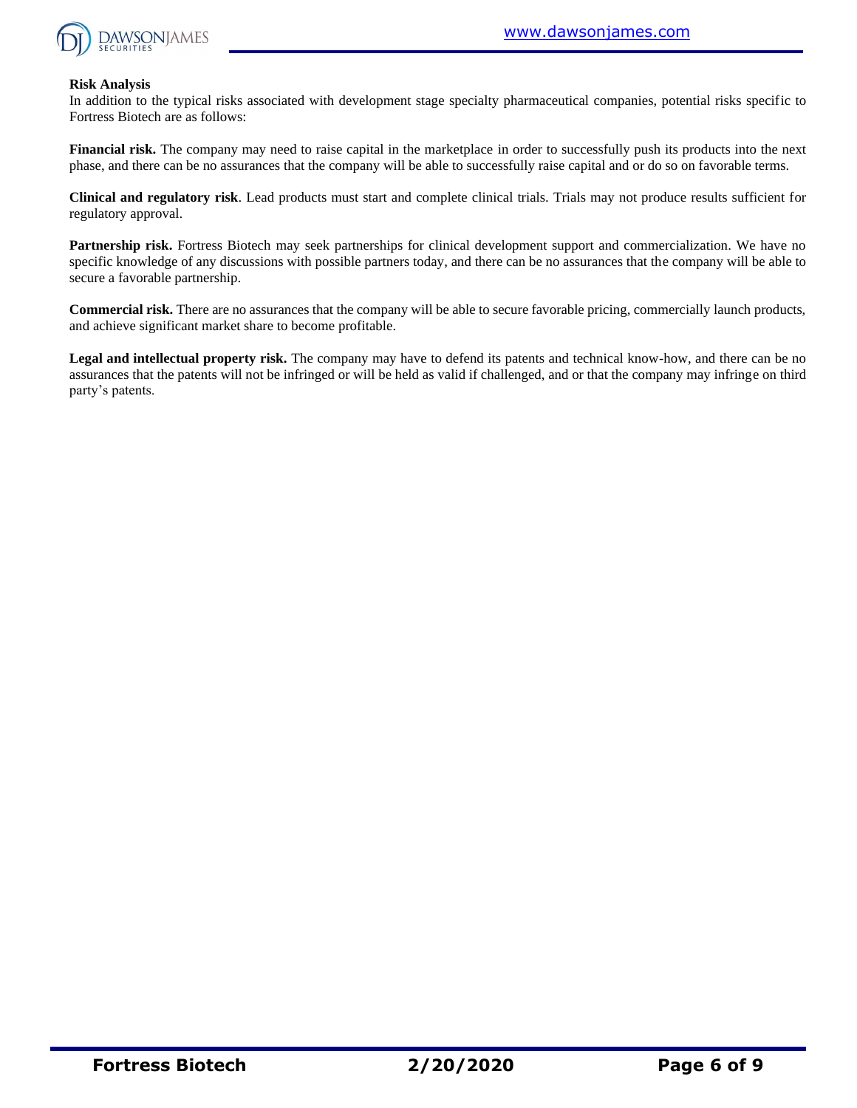

#### **Risk Analysis**

In addition to the typical risks associated with development stage specialty pharmaceutical companies, potential risks specific to Fortress Biotech are as follows:

**Financial risk.** The company may need to raise capital in the marketplace in order to successfully push its products into the next phase, and there can be no assurances that the company will be able to successfully raise capital and or do so on favorable terms.

**Clinical and regulatory risk**. Lead products must start and complete clinical trials. Trials may not produce results sufficient for regulatory approval.

**Partnership risk.** Fortress Biotech may seek partnerships for clinical development support and commercialization. We have no specific knowledge of any discussions with possible partners today, and there can be no assurances that the company will be able to secure a favorable partnership.

**Commercial risk.** There are no assurances that the company will be able to secure favorable pricing, commercially launch products, and achieve significant market share to become profitable.

**Legal and intellectual property risk.** The company may have to defend its patents and technical know-how, and there can be no assurances that the patents will not be infringed or will be held as valid if challenged, and or that the company may infringe on third party's patents.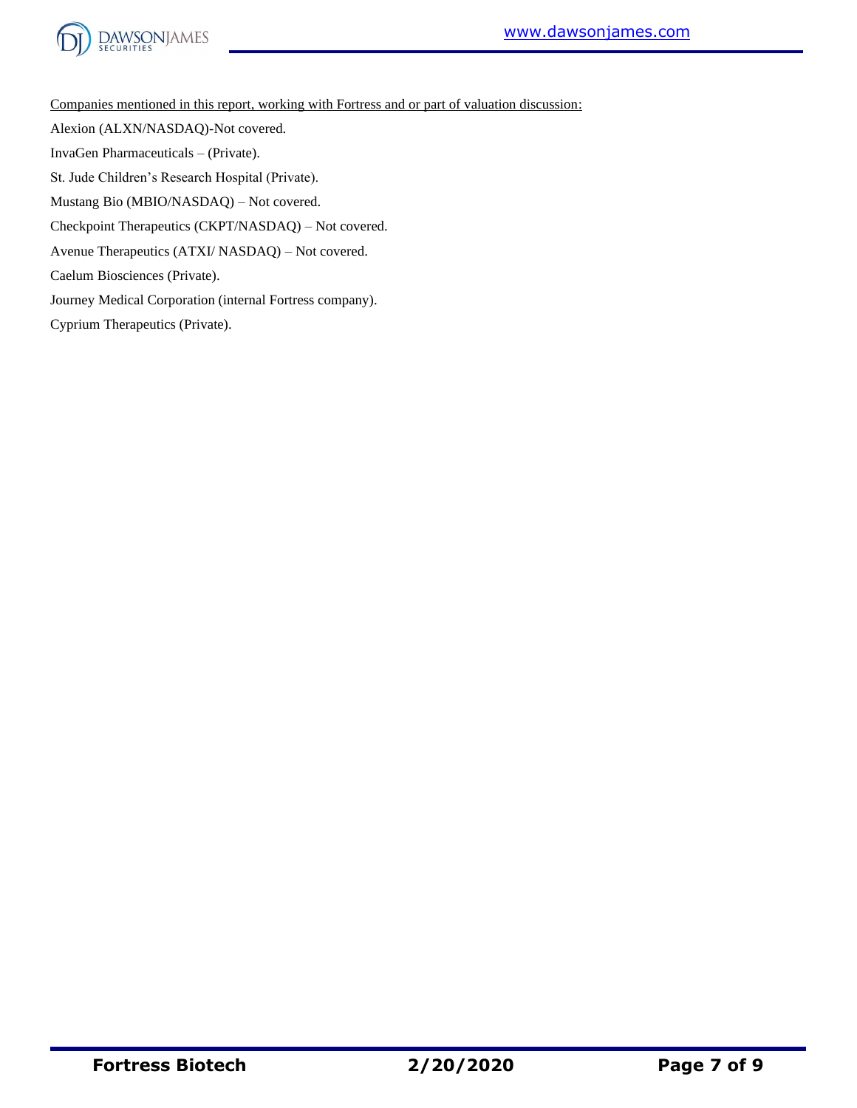

Companies mentioned in this report, working with Fortress and or part of valuation discussion:

Alexion (ALXN/NASDAQ)-Not covered.

InvaGen Pharmaceuticals – (Private).

St. Jude Children's Research Hospital (Private).

Mustang Bio (MBIO/NASDAQ) – Not covered.

Checkpoint Therapeutics (CKPT/NASDAQ) – Not covered.

Avenue Therapeutics (ATXI/ NASDAQ) – Not covered.

Caelum Biosciences (Private).

Journey Medical Corporation (internal Fortress company).

Cyprium Therapeutics (Private).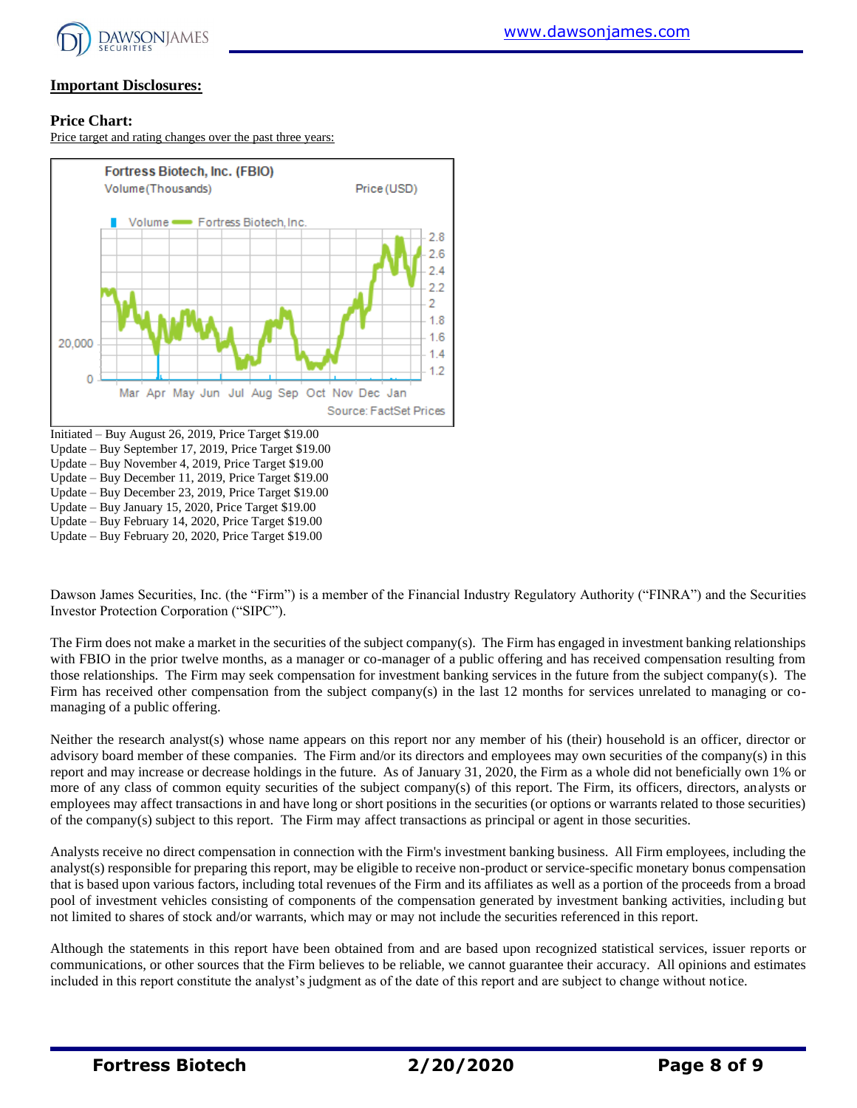

## **Important Disclosures:**

### **Price Chart:**

Price target and rating changes over the past three years:



Dawson James Securities, Inc. (the "Firm") is a member of the Financial Industry Regulatory Authority ("FINRA") and the Securities Investor Protection Corporation ("SIPC").

The Firm does not make a market in the securities of the subject company(s). The Firm has engaged in investment banking relationships with FBIO in the prior twelve months, as a manager or co-manager of a public offering and has received compensation resulting from those relationships. The Firm may seek compensation for investment banking services in the future from the subject company(s). The Firm has received other compensation from the subject company(s) in the last 12 months for services unrelated to managing or comanaging of a public offering.

Neither the research analyst(s) whose name appears on this report nor any member of his (their) household is an officer, director or advisory board member of these companies. The Firm and/or its directors and employees may own securities of the company(s) in this report and may increase or decrease holdings in the future. As of January 31, 2020, the Firm as a whole did not beneficially own 1% or more of any class of common equity securities of the subject company(s) of this report. The Firm, its officers, directors, analysts or employees may affect transactions in and have long or short positions in the securities (or options or warrants related to those securities) of the company(s) subject to this report. The Firm may affect transactions as principal or agent in those securities.

Analysts receive no direct compensation in connection with the Firm's investment banking business. All Firm employees, including the analyst(s) responsible for preparing this report, may be eligible to receive non-product or service-specific monetary bonus compensation that is based upon various factors, including total revenues of the Firm and its affiliates as well as a portion of the proceeds from a broad pool of investment vehicles consisting of components of the compensation generated by investment banking activities, including but not limited to shares of stock and/or warrants, which may or may not include the securities referenced in this report.

Although the statements in this report have been obtained from and are based upon recognized statistical services, issuer reports or communications, or other sources that the Firm believes to be reliable, we cannot guarantee their accuracy. All opinions and estimates included in this report constitute the analyst's judgment as of the date of this report and are subject to change without notice.